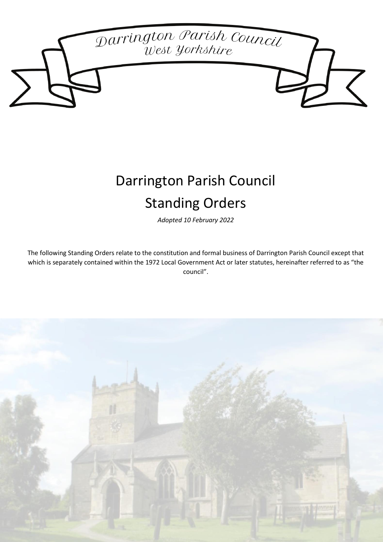

# Darrington Parish Council Standing Orders

*Adopted 10 February 2022*

The following Standing Orders relate to the constitution and formal business of Darrington Parish Council except that which is separately contained within the 1972 Local Government Act or later statutes, hereinafter referred to as "the council".

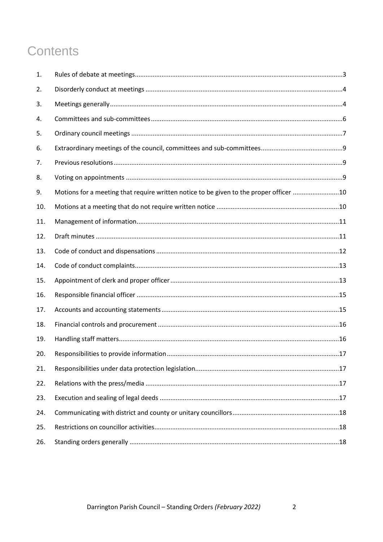# **Contents**

| 1.  |                                                                                        |  |
|-----|----------------------------------------------------------------------------------------|--|
| 2.  |                                                                                        |  |
| 3.  |                                                                                        |  |
| 4.  |                                                                                        |  |
| 5.  |                                                                                        |  |
| 6.  |                                                                                        |  |
| 7.  |                                                                                        |  |
| 8.  |                                                                                        |  |
| 9.  | Motions for a meeting that require written notice to be given to the proper officer 10 |  |
| 10. |                                                                                        |  |
| 11. |                                                                                        |  |
| 12. |                                                                                        |  |
| 13. |                                                                                        |  |
| 14. |                                                                                        |  |
| 15. |                                                                                        |  |
| 16. |                                                                                        |  |
| 17. |                                                                                        |  |
| 18. |                                                                                        |  |
| 19. |                                                                                        |  |
| 20. |                                                                                        |  |
| 21. |                                                                                        |  |
| 22. |                                                                                        |  |
| 23. |                                                                                        |  |
| 24. |                                                                                        |  |
| 25. |                                                                                        |  |
| 26. |                                                                                        |  |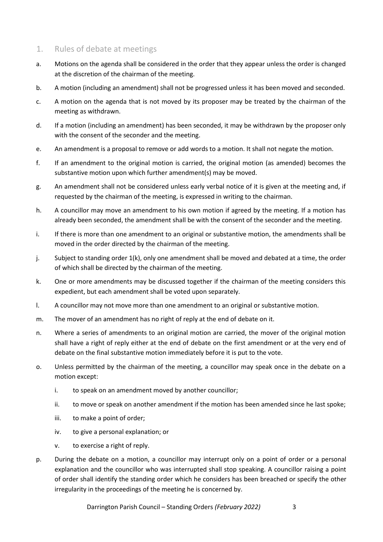## 1. Rules of debate at meetings

- a. Motions on the agenda shall be considered in the order that they appear unless the order is changed at the discretion of the chairman of the meeting.
- b. A motion (including an amendment) shall not be progressed unless it has been moved and seconded.
- c. A motion on the agenda that is not moved by its proposer may be treated by the chairman of the meeting as withdrawn.
- d. If a motion (including an amendment) has been seconded, it may be withdrawn by the proposer only with the consent of the seconder and the meeting.
- e. An amendment is a proposal to remove or add words to a motion. It shall not negate the motion.
- f. If an amendment to the original motion is carried, the original motion (as amended) becomes the substantive motion upon which further amendment(s) may be moved.
- g. An amendment shall not be considered unless early verbal notice of it is given at the meeting and, if requested by the chairman of the meeting, is expressed in writing to the chairman.
- h. A councillor may move an amendment to his own motion if agreed by the meeting. If a motion has already been seconded, the amendment shall be with the consent of the seconder and the meeting.
- i. If there is more than one amendment to an original or substantive motion, the amendments shall be moved in the order directed by the chairman of the meeting.
- j. Subject to standing order 1(k), only one amendment shall be moved and debated at a time, the order of which shall be directed by the chairman of the meeting.
- k. One or more amendments may be discussed together if the chairman of the meeting considers this expedient, but each amendment shall be voted upon separately.
- l. A councillor may not move more than one amendment to an original or substantive motion.
- m. The mover of an amendment has no right of reply at the end of debate on it.
- n. Where a series of amendments to an original motion are carried, the mover of the original motion shall have a right of reply either at the end of debate on the first amendment or at the very end of debate on the final substantive motion immediately before it is put to the vote.
- o. Unless permitted by the chairman of the meeting, a councillor may speak once in the debate on a motion except:
	- i. to speak on an amendment moved by another councillor;
	- ii. to move or speak on another amendment if the motion has been amended since he last spoke;
	- iii. to make a point of order;
	- iv. to give a personal explanation; or
	- v. to exercise a right of reply.
- p. During the debate on a motion, a councillor may interrupt only on a point of order or a personal explanation and the councillor who was interrupted shall stop speaking. A councillor raising a point of order shall identify the standing order which he considers has been breached or specify the other irregularity in the proceedings of the meeting he is concerned by.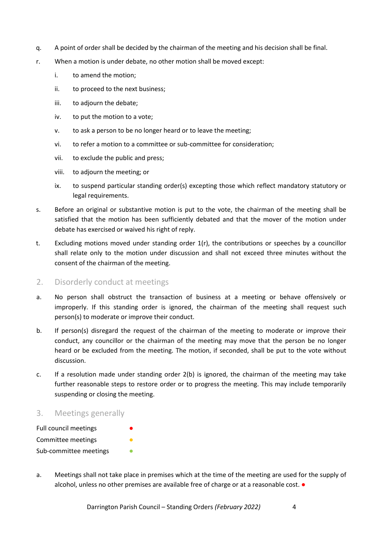- q. A point of order shall be decided by the chairman of the meeting and his decision shall be final.
- r. When a motion is under debate, no other motion shall be moved except:
	- i. to amend the motion;
	- ii. to proceed to the next business;
	- iii. to adjourn the debate;
	- iv. to put the motion to a vote;
	- v. to ask a person to be no longer heard or to leave the meeting;
	- vi. to refer a motion to a committee or sub-committee for consideration;
	- vii. to exclude the public and press;
	- viii. to adjourn the meeting; or
	- ix. to suspend particular standing order(s) excepting those which reflect mandatory statutory or legal requirements.
- s. Before an original or substantive motion is put to the vote, the chairman of the meeting shall be satisfied that the motion has been sufficiently debated and that the mover of the motion under debate has exercised or waived his right of reply.
- t. Excluding motions moved under standing order 1(r), the contributions or speeches by a councillor shall relate only to the motion under discussion and shall not exceed three minutes without the consent of the chairman of the meeting.
- 2. Disorderly conduct at meetings
- a. No person shall obstruct the transaction of business at a meeting or behave offensively or improperly. If this standing order is ignored, the chairman of the meeting shall request such person(s) to moderate or improve their conduct.
- b. If person(s) disregard the request of the chairman of the meeting to moderate or improve their conduct, any councillor or the chairman of the meeting may move that the person be no longer heard or be excluded from the meeting. The motion, if seconded, shall be put to the vote without discussion.
- c. If a resolution made under standing order 2(b) is ignored, the chairman of the meeting may take further reasonable steps to restore order or to progress the meeting. This may include temporarily suspending or closing the meeting.
- 3. Meetings generally

| Full council meetings  | ● |
|------------------------|---|
| Committee meetings     |   |
| Sub-committee meetings |   |

a. Meetings shall not take place in premises which at the time of the meeting are used for the supply of alcohol, unless no other premises are available free of charge or at a reasonable cost. ●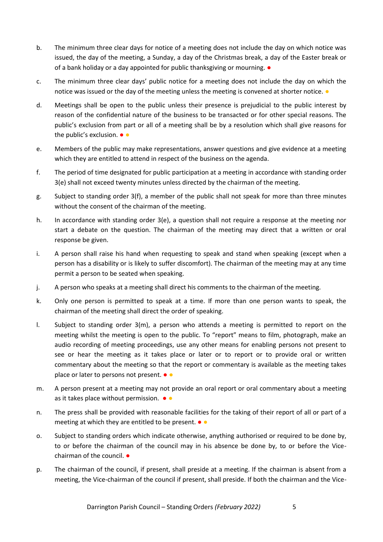- b. The minimum three clear days for notice of a meeting does not include the day on which notice was issued, the day of the meeting, a Sunday, a day of the Christmas break, a day of the Easter break or of a bank holiday or a day appointed for public thanksgiving or mourning. ●
- c. The minimum three clear days' public notice for a meeting does not include the day on which the notice was issued or the day of the meeting unless the meeting is convened at shorter notice.  $\bullet$
- d. Meetings shall be open to the public unless their presence is prejudicial to the public interest by reason of the confidential nature of the business to be transacted or for other special reasons. The public's exclusion from part or all of a meeting shall be by a resolution which shall give reasons for the public's exclusion. ● ●
- e. Members of the public may make representations, answer questions and give evidence at a meeting which they are entitled to attend in respect of the business on the agenda.
- f. The period of time designated for public participation at a meeting in accordance with standing order 3(e) shall not exceed twenty minutes unless directed by the chairman of the meeting.
- g. Subject to standing order 3(f), a member of the public shall not speak for more than three minutes without the consent of the chairman of the meeting.
- h. In accordance with standing order 3(e), a question shall not require a response at the meeting nor start a debate on the question. The chairman of the meeting may direct that a written or oral response be given.
- i. A person shall raise his hand when requesting to speak and stand when speaking (except when a person has a disability or is likely to suffer discomfort). The chairman of the meeting may at any time permit a person to be seated when speaking.
- j. A person who speaks at a meeting shall direct his comments to the chairman of the meeting.
- k. Only one person is permitted to speak at a time. If more than one person wants to speak, the chairman of the meeting shall direct the order of speaking.
- l. Subject to standing order 3(m), a person who attends a meeting is permitted to report on the meeting whilst the meeting is open to the public. To "report" means to film, photograph, make an audio recording of meeting proceedings, use any other means for enabling persons not present to see or hear the meeting as it takes place or later or to report or to provide oral or written commentary about the meeting so that the report or commentary is available as the meeting takes place or later to persons not present.  $\bullet$   $\bullet$
- m. A person present at a meeting may not provide an oral report or oral commentary about a meeting as it takes place without permission.  $\bullet \bullet$
- n. The press shall be provided with reasonable facilities for the taking of their report of all or part of a meeting at which they are entitled to be present.  $\bullet \bullet$
- o. Subject to standing orders which indicate otherwise, anything authorised or required to be done by, to or before the chairman of the council may in his absence be done by, to or before the Vicechairman of the council. ●
- p. The chairman of the council, if present, shall preside at a meeting. If the chairman is absent from a meeting, the Vice-chairman of the council if present, shall preside. If both the chairman and the Vice-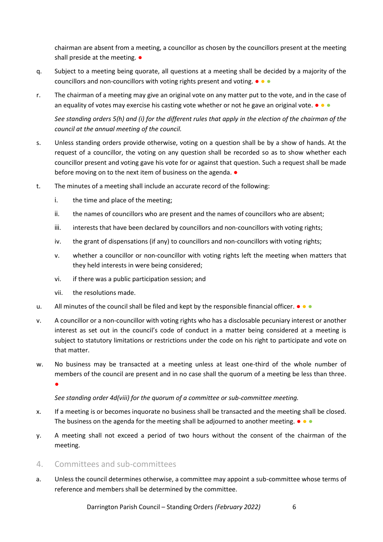chairman are absent from a meeting, a councillor as chosen by the councillors present at the meeting shall preside at the meeting.  $\bullet$ 

- q. Subject to a meeting being quorate, all questions at a meeting shall be decided by a majority of the councillors and non-councillors with voting rights present and voting. ● ● ●
- r. The chairman of a meeting may give an original vote on any matter put to the vote, and in the case of an equality of votes may exercise his casting vote whether or not he gave an original vote.  $\bullet \bullet \bullet$

*See standing orders 5(h) and (i) for the different rules that apply in the election of the chairman of the council at the annual meeting of the council.*

- s. Unless standing orders provide otherwise, voting on a question shall be by a show of hands. At the request of a councillor, the voting on any question shall be recorded so as to show whether each councillor present and voting gave his vote for or against that question. Such a request shall be made before moving on to the next item of business on the agenda.  $\bullet$
- t. The minutes of a meeting shall include an accurate record of the following:
	- i. the time and place of the meeting;
	- ii. the names of councillors who are present and the names of councillors who are absent;
	- iii. interests that have been declared by councillors and non-councillors with voting rights;
	- iv. the grant of dispensations (if any) to councillors and non-councillors with voting rights;
	- v. whether a councillor or non-councillor with voting rights left the meeting when matters that they held interests in were being considered;
	- vi. if there was a public participation session; and
	- vii. the resolutions made.
- u. All minutes of the council shall be filed and kept by the responsible financial officer.  $\bullet \bullet \bullet$
- v. A councillor or a non-councillor with voting rights who has a disclosable pecuniary interest or another interest as set out in the council's code of conduct in a matter being considered at a meeting is subject to statutory limitations or restrictions under the code on his right to participate and vote on that matter.
- w. No business may be transacted at a meeting unless at least one-third of the whole number of members of the council are present and in no case shall the quorum of a meeting be less than three. ●

*See standing order 4d(viii) for the quorum of a committee or sub-committee meeting.*

- x. If a meeting is or becomes inquorate no business shall be transacted and the meeting shall be closed. The business on the agenda for the meeting shall be adjourned to another meeting.  $\bullet \bullet \bullet$
- y. A meeting shall not exceed a period of two hours without the consent of the chairman of the meeting.
- 4. Committees and sub-committees
- a. Unless the council determines otherwise, a committee may appoint a sub-committee whose terms of reference and members shall be determined by the committee.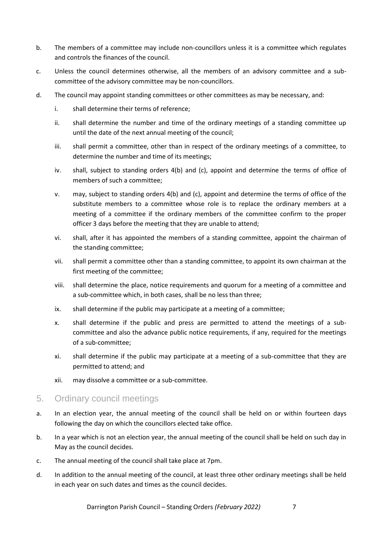- b. The members of a committee may include non-councillors unless it is a committee which regulates and controls the finances of the council.
- c. Unless the council determines otherwise, all the members of an advisory committee and a subcommittee of the advisory committee may be non-councillors.
- d. The council may appoint standing committees or other committees as may be necessary, and:
	- i. shall determine their terms of reference;
	- ii. shall determine the number and time of the ordinary meetings of a standing committee up until the date of the next annual meeting of the council;
	- iii. shall permit a committee, other than in respect of the ordinary meetings of a committee, to determine the number and time of its meetings;
	- iv. shall, subject to standing orders 4(b) and (c), appoint and determine the terms of office of members of such a committee;
	- v. may, subject to standing orders 4(b) and (c), appoint and determine the terms of office of the substitute members to a committee whose role is to replace the ordinary members at a meeting of a committee if the ordinary members of the committee confirm to the proper officer 3 days before the meeting that they are unable to attend;
	- vi. shall, after it has appointed the members of a standing committee, appoint the chairman of the standing committee;
	- vii. shall permit a committee other than a standing committee, to appoint its own chairman at the first meeting of the committee;
	- viii. shall determine the place, notice requirements and quorum for a meeting of a committee and a sub-committee which, in both cases, shall be no less than three;
	- ix. shall determine if the public may participate at a meeting of a committee;
	- x. shall determine if the public and press are permitted to attend the meetings of a subcommittee and also the advance public notice requirements, if any, required for the meetings of a sub-committee;
	- xi. shall determine if the public may participate at a meeting of a sub-committee that they are permitted to attend; and
	- xii. may dissolve a committee or a sub-committee.
- 5. Ordinary council meetings
- a. In an election year, the annual meeting of the council shall be held on or within fourteen days following the day on which the councillors elected take office.
- b. In a year which is not an election year, the annual meeting of the council shall be held on such day in May as the council decides.
- c. The annual meeting of the council shall take place at 7pm.
- d. In addition to the annual meeting of the council, at least three other ordinary meetings shall be held in each year on such dates and times as the council decides.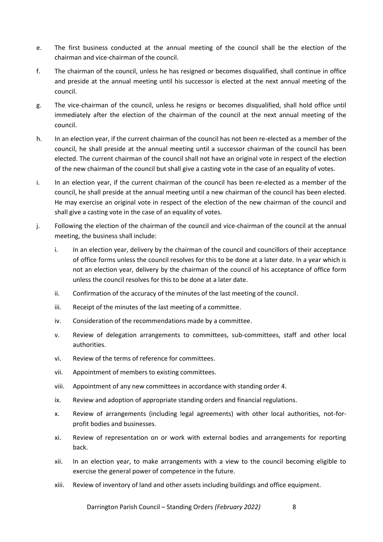- e. The first business conducted at the annual meeting of the council shall be the election of the chairman and vice-chairman of the council.
- f. The chairman of the council, unless he has resigned or becomes disqualified, shall continue in office and preside at the annual meeting until his successor is elected at the next annual meeting of the council.
- g. The vice-chairman of the council, unless he resigns or becomes disqualified, shall hold office until immediately after the election of the chairman of the council at the next annual meeting of the council.
- h. In an election year, if the current chairman of the council has not been re-elected as a member of the council, he shall preside at the annual meeting until a successor chairman of the council has been elected. The current chairman of the council shall not have an original vote in respect of the election of the new chairman of the council but shall give a casting vote in the case of an equality of votes.
- i. In an election year, if the current chairman of the council has been re-elected as a member of the council, he shall preside at the annual meeting until a new chairman of the council has been elected. He may exercise an original vote in respect of the election of the new chairman of the council and shall give a casting vote in the case of an equality of votes.
- j. Following the election of the chairman of the council and vice-chairman of the council at the annual meeting, the business shall include:
	- i. In an election year, delivery by the chairman of the council and councillors of their acceptance of office forms unless the council resolves for this to be done at a later date. In a year which is not an election year, delivery by the chairman of the council of his acceptance of office form unless the council resolves for this to be done at a later date.
	- ii. Confirmation of the accuracy of the minutes of the last meeting of the council.
	- iii. Receipt of the minutes of the last meeting of a committee.
	- iv. Consideration of the recommendations made by a committee.
	- v. Review of delegation arrangements to committees, sub-committees, staff and other local authorities.
	- vi. Review of the terms of reference for committees.
	- vii. Appointment of members to existing committees.
	- viii. Appointment of any new committees in accordance with standing order 4.
	- ix. Review and adoption of appropriate standing orders and financial regulations.
	- x. Review of arrangements (including legal agreements) with other local authorities, not-forprofit bodies and businesses.
	- xi. Review of representation on or work with external bodies and arrangements for reporting back.
	- xii. In an election year, to make arrangements with a view to the council becoming eligible to exercise the general power of competence in the future.
	- xiii. Review of inventory of land and other assets including buildings and office equipment.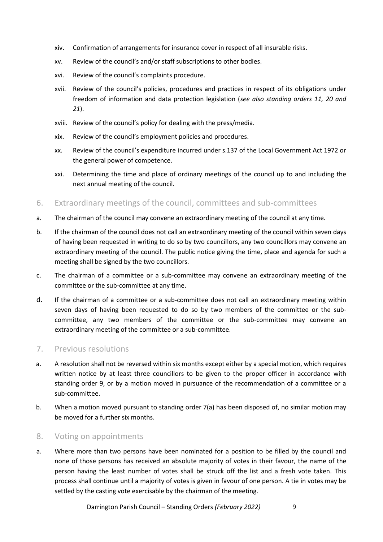- xiv. Confirmation of arrangements for insurance cover in respect of all insurable risks.
- xv. Review of the council's and/or staff subscriptions to other bodies.
- xvi. Review of the council's complaints procedure.
- xvii. Review of the council's policies, procedures and practices in respect of its obligations under freedom of information and data protection legislation (*see also standing orders 11, 20 and 21*).
- xviii. Review of the council's policy for dealing with the press/media.
- xix. Review of the council's employment policies and procedures.
- xx. Review of the council's expenditure incurred under s.137 of the Local Government Act 1972 or the general power of competence.
- xxi. Determining the time and place of ordinary meetings of the council up to and including the next annual meeting of the council.
- 6. Extraordinary meetings of the council, committees and sub-committees
- a. The chairman of the council may convene an extraordinary meeting of the council at any time.
- b. If the chairman of the council does not call an extraordinary meeting of the council within seven days of having been requested in writing to do so by two councillors, any two councillors may convene an extraordinary meeting of the council. The public notice giving the time, place and agenda for such a meeting shall be signed by the two councillors.
- c. The chairman of a committee or a sub-committee may convene an extraordinary meeting of the committee or the sub-committee at any time.
- d. If the chairman of a committee or a sub-committee does not call an extraordinary meeting within seven days of having been requested to do so by two members of the committee or the subcommittee, any two members of the committee or the sub-committee may convene an extraordinary meeting of the committee or a sub-committee.

#### 7. Previous resolutions

- a. A resolution shall not be reversed within six months except either by a special motion, which requires written notice by at least three councillors to be given to the proper officer in accordance with standing order 9, or by a motion moved in pursuance of the recommendation of a committee or a sub-committee.
- b. When a motion moved pursuant to standing order 7(a) has been disposed of, no similar motion may be moved for a further six months.

#### 8. Voting on appointments

a. Where more than two persons have been nominated for a position to be filled by the council and none of those persons has received an absolute majority of votes in their favour, the name of the person having the least number of votes shall be struck off the list and a fresh vote taken. This process shall continue until a majority of votes is given in favour of one person. A tie in votes may be settled by the casting vote exercisable by the chairman of the meeting.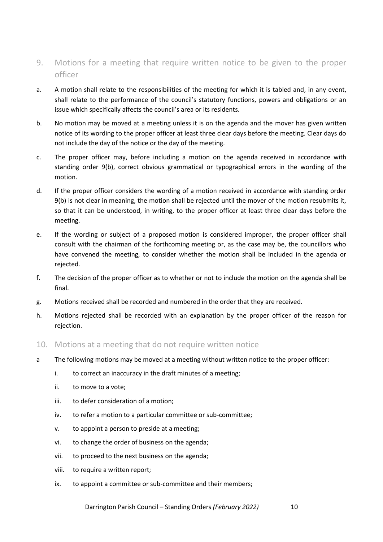- 9. Motions for a meeting that require written notice to be given to the proper officer
- a. A motion shall relate to the responsibilities of the meeting for which it is tabled and, in any event, shall relate to the performance of the council's statutory functions, powers and obligations or an issue which specifically affects the council's area or its residents.
- b. No motion may be moved at a meeting unless it is on the agenda and the mover has given written notice of its wording to the proper officer at least three clear days before the meeting. Clear days do not include the day of the notice or the day of the meeting.
- c. The proper officer may, before including a motion on the agenda received in accordance with standing order 9(b), correct obvious grammatical or typographical errors in the wording of the motion.
- d. If the proper officer considers the wording of a motion received in accordance with standing order 9(b) is not clear in meaning, the motion shall be rejected until the mover of the motion resubmits it, so that it can be understood, in writing, to the proper officer at least three clear days before the meeting.
- e. If the wording or subject of a proposed motion is considered improper, the proper officer shall consult with the chairman of the forthcoming meeting or, as the case may be, the councillors who have convened the meeting, to consider whether the motion shall be included in the agenda or rejected.
- f. The decision of the proper officer as to whether or not to include the motion on the agenda shall be final.
- g. Motions received shall be recorded and numbered in the order that they are received.
- h. Motions rejected shall be recorded with an explanation by the proper officer of the reason for rejection.
- 10. Motions at a meeting that do not require written notice
- a The following motions may be moved at a meeting without written notice to the proper officer:
	- i. to correct an inaccuracy in the draft minutes of a meeting;
	- ii. to move to a vote;
	- iii. to defer consideration of a motion;
	- iv. to refer a motion to a particular committee or sub-committee;
	- v. to appoint a person to preside at a meeting;
	- vi. to change the order of business on the agenda;
	- vii. to proceed to the next business on the agenda;
	- viii. to require a written report;
	- ix. to appoint a committee or sub-committee and their members;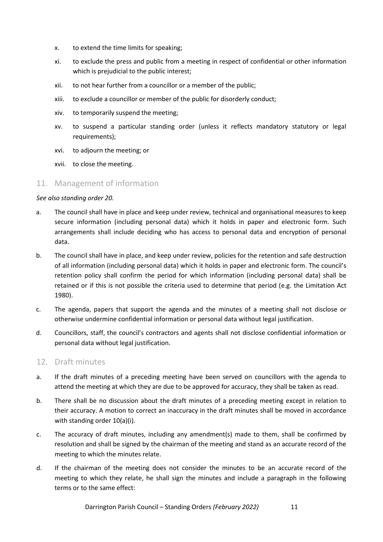- x. to extend the time limits for speaking;
- xi. to exclude the press and public from a meeting in respect of confidential or other information which is prejudicial to the public interest;
- xii. to not hear further from a councillor or a member of the public;
- xiii. to exclude a councillor or member of the public for disorderly conduct;
- xiv. to temporarily suspend the meeting;
- xv. to suspend a particular standing order (unless it reflects mandatory statutory or legal requirements);
- xvi. to adjourn the meeting; or
- xvii. to close the meeting.

#### 11. Management of information

#### *See also standing order 20.*

- a. The council shall have in place and keep under review, technical and organisational measures to keep secure information (including personal data) which it holds in paper and electronic form. Such arrangements shall include deciding who has access to personal data and encryption of personal data.
- b. The council shall have in place, and keep under review, policies for the retention and safe destruction of all information (including personal data) which it holds in paper and electronic form. The council's retention policy shall confirm the period for which information (including personal data) shall be retained or if this is not possible the criteria used to determine that period (e.g. the Limitation Act 1980).
- c. The agenda, papers that support the agenda and the minutes of a meeting shall not disclose or otherwise undermine confidential information or personal data without legal justification.
- d. Councillors, staff, the council's contractors and agents shall not disclose confidential information or personal data without legal justification.

#### 12. Draft minutes

- a. If the draft minutes of a preceding meeting have been served on councillors with the agenda to attend the meeting at which they are due to be approved for accuracy, they shall be taken as read.
- b. There shall be no discussion about the draft minutes of a preceding meeting except in relation to their accuracy. A motion to correct an inaccuracy in the draft minutes shall be moved in accordance with standing order 10(a)(i).
- c. The accuracy of draft minutes, including any amendment(s) made to them, shall be confirmed by resolution and shall be signed by the chairman of the meeting and stand as an accurate record of the meeting to which the minutes relate.
- d. If the chairman of the meeting does not consider the minutes to be an accurate record of the meeting to which they relate, he shall sign the minutes and include a paragraph in the following terms or to the same effect: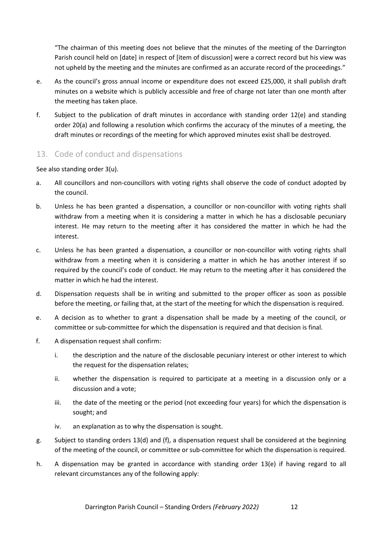"The chairman of this meeting does not believe that the minutes of the meeting of the Darrington Parish council held on [date] in respect of [item of discussion] were a correct record but his view was not upheld by the meeting and the minutes are confirmed as an accurate record of the proceedings."

- e. As the council's gross annual income or expenditure does not exceed £25,000, it shall publish draft minutes on a website which is publicly accessible and free of charge not later than one month after the meeting has taken place.
- f. Subject to the publication of draft minutes in accordance with standing order 12(e) and standing order 20(a) and following a resolution which confirms the accuracy of the minutes of a meeting, the draft minutes or recordings of the meeting for which approved minutes exist shall be destroyed.

# 13. Code of conduct and dispensations

See also standing order 3(u).

- a. All councillors and non-councillors with voting rights shall observe the code of conduct adopted by the council.
- b. Unless he has been granted a dispensation, a councillor or non-councillor with voting rights shall withdraw from a meeting when it is considering a matter in which he has a disclosable pecuniary interest. He may return to the meeting after it has considered the matter in which he had the interest.
- c. Unless he has been granted a dispensation, a councillor or non-councillor with voting rights shall withdraw from a meeting when it is considering a matter in which he has another interest if so required by the council's code of conduct. He may return to the meeting after it has considered the matter in which he had the interest.
- d. Dispensation requests shall be in writing and submitted to the proper officer as soon as possible before the meeting, or failing that, at the start of the meeting for which the dispensation is required.
- e. A decision as to whether to grant a dispensation shall be made by a meeting of the council, or committee or sub-committee for which the dispensation is required and that decision is final.
- f. A dispensation request shall confirm:
	- i. the description and the nature of the disclosable pecuniary interest or other interest to which the request for the dispensation relates;
	- ii. whether the dispensation is required to participate at a meeting in a discussion only or a discussion and a vote;
	- iii. the date of the meeting or the period (not exceeding four years) for which the dispensation is sought; and
	- iv. an explanation as to why the dispensation is sought.
- g. Subject to standing orders 13(d) and (f), a dispensation request shall be considered at the beginning of the meeting of the council, or committee or sub-committee for which the dispensation is required.
- h. A dispensation may be granted in accordance with standing order 13(e) if having regard to all relevant circumstances any of the following apply: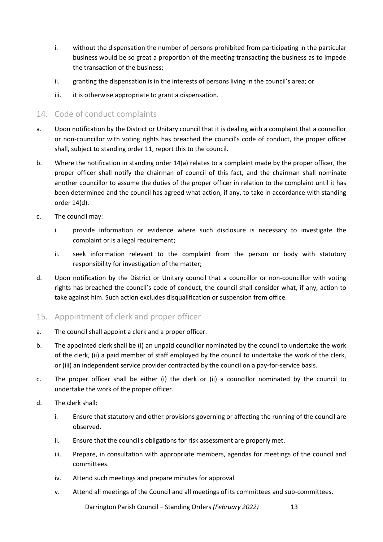- i. without the dispensation the number of persons prohibited from participating in the particular business would be so great a proportion of the meeting transacting the business as to impede the transaction of the business;
- ii. granting the dispensation is in the interests of persons living in the council's area; or
- iii. it is otherwise appropriate to grant a dispensation.

## 14. Code of conduct complaints

- a. Upon notification by the District or Unitary council that it is dealing with a complaint that a councillor or non-councillor with voting rights has breached the council's code of conduct, the proper officer shall, subject to standing order 11, report this to the council.
- b. Where the notification in standing order 14(a) relates to a complaint made by the proper officer, the proper officer shall notify the chairman of council of this fact, and the chairman shall nominate another councillor to assume the duties of the proper officer in relation to the complaint until it has been determined and the council has agreed what action, if any, to take in accordance with standing order 14(d).
- c. The council may:
	- i. provide information or evidence where such disclosure is necessary to investigate the complaint or is a legal requirement;
	- ii. seek information relevant to the complaint from the person or body with statutory responsibility for investigation of the matter;
- d. Upon notification by the District or Unitary council that a councillor or non-councillor with voting rights has breached the council's code of conduct, the council shall consider what, if any, action to take against him. Such action excludes disqualification or suspension from office.
- 15. Appointment of clerk and proper officer
- a. The council shall appoint a clerk and a proper officer.
- b. The appointed clerk shall be (i) an unpaid councillor nominated by the council to undertake the work of the clerk, (ii) a paid member of staff employed by the council to undertake the work of the clerk, or (iii) an independent service provider contracted by the council on a pay-for-service basis.
- c. The proper officer shall be either (i) the clerk or (ii) a councillor nominated by the council to undertake the work of the proper officer.
- d. The clerk shall:
	- i. Ensure that statutory and other provisions governing or affecting the running of the council are observed.
	- ii. Ensure that the council's obligations for risk assessment are properly met.
	- iii. Prepare, in consultation with appropriate members, agendas for meetings of the council and committees.
	- iv. Attend such meetings and prepare minutes for approval.
	- v. Attend all meetings of the Council and all meetings of its committees and sub-committees.

Darrington Parish Council – Standing Orders *(February 2022)* 13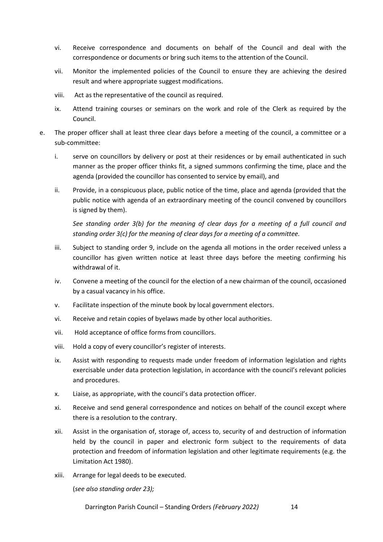- vi. Receive correspondence and documents on behalf of the Council and deal with the correspondence or documents or bring such items to the attention of the Council.
- vii. Monitor the implemented policies of the Council to ensure they are achieving the desired result and where appropriate suggest modifications.
- viii. Act as the representative of the council as required.
- ix. Attend training courses or seminars on the work and role of the Clerk as required by the Council.
- e. The proper officer shall at least three clear days before a meeting of the council, a committee or a sub-committee:
	- i. serve on councillors by delivery or post at their residences or by email authenticated in such manner as the proper officer thinks fit, a signed summons confirming the time, place and the agenda (provided the councillor has consented to service by email), and
	- ii. Provide, in a conspicuous place, public notice of the time, place and agenda (provided that the public notice with agenda of an extraordinary meeting of the council convened by councillors is signed by them).

*See standing order 3(b) for the meaning of clear days for a meeting of a full council and standing order 3(c) for the meaning of clear days for a meeting of a committee.*

- iii. Subject to standing order 9, include on the agenda all motions in the order received unless a councillor has given written notice at least three days before the meeting confirming his withdrawal of it.
- iv. Convene a meeting of the council for the election of a new chairman of the council, occasioned by a casual vacancy in his office.
- v. Facilitate inspection of the minute book by local government electors.
- vi. Receive and retain copies of byelaws made by other local authorities.
- vii. Hold acceptance of office forms from councillors.
- viii. Hold a copy of every councillor's register of interests.
- ix. Assist with responding to requests made under freedom of information legislation and rights exercisable under data protection legislation, in accordance with the council's relevant policies and procedures.
- x. Liaise, as appropriate, with the council's data protection officer.
- xi. Receive and send general correspondence and notices on behalf of the council except where there is a resolution to the contrary.
- xii. Assist in the organisation of, storage of, access to, security of and destruction of information held by the council in paper and electronic form subject to the requirements of data protection and freedom of information legislation and other legitimate requirements (e.g. the Limitation Act 1980).
- xiii. Arrange for legal deeds to be executed.

(*see also standing order 23);*

Darrington Parish Council – Standing Orders *(February 2022)* 14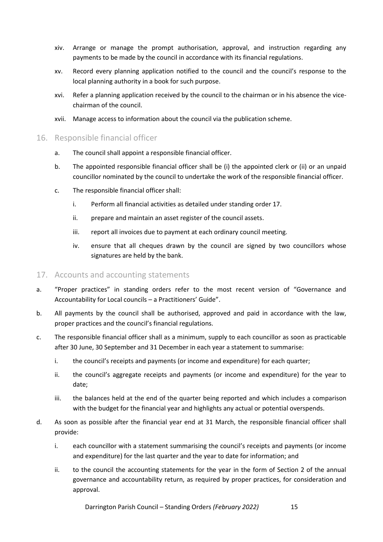- xiv. Arrange or manage the prompt authorisation, approval, and instruction regarding any payments to be made by the council in accordance with its financial regulations.
- xv. Record every planning application notified to the council and the council's response to the local planning authority in a book for such purpose.
- xvi. Refer a planning application received by the council to the chairman or in his absence the vicechairman of the council.
- xvii. Manage access to information about the council via the publication scheme.
- 16. Responsible financial officer
	- a. The council shall appoint a responsible financial officer.
	- b. The appointed responsible financial officer shall be (i) the appointed clerk or (ii) or an unpaid councillor nominated by the council to undertake the work of the responsible financial officer.
	- c. The responsible financial officer shall:
		- i. Perform all financial activities as detailed under standing order 17.
		- ii. prepare and maintain an asset register of the council assets.
		- iii. report all invoices due to payment at each ordinary council meeting.
		- iv. ensure that all cheques drawn by the council are signed by two councillors whose signatures are held by the bank.
- 17. Accounts and accounting statements
- a. "Proper practices" in standing orders refer to the most recent version of "Governance and Accountability for Local councils – a Practitioners' Guide".
- b. All payments by the council shall be authorised, approved and paid in accordance with the law, proper practices and the council's financial regulations.
- c. The responsible financial officer shall as a minimum, supply to each councillor as soon as practicable after 30 June, 30 September and 31 December in each year a statement to summarise:
	- i. the council's receipts and payments (or income and expenditure) for each quarter;
	- ii. the council's aggregate receipts and payments (or income and expenditure) for the year to date;
	- iii. the balances held at the end of the quarter being reported and which includes a comparison with the budget for the financial year and highlights any actual or potential overspends.
- d. As soon as possible after the financial year end at 31 March, the responsible financial officer shall provide:
	- i. each councillor with a statement summarising the council's receipts and payments (or income and expenditure) for the last quarter and the year to date for information; and
	- ii. to the council the accounting statements for the year in the form of Section 2 of the annual governance and accountability return, as required by proper practices, for consideration and approval.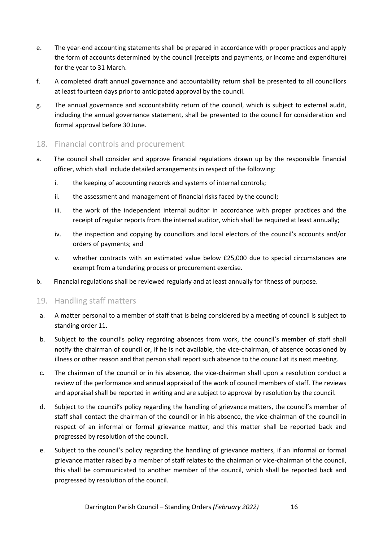- e. The year-end accounting statements shall be prepared in accordance with proper practices and apply the form of accounts determined by the council (receipts and payments, or income and expenditure) for the year to 31 March.
- f. A completed draft annual governance and accountability return shall be presented to all councillors at least fourteen days prior to anticipated approval by the council.
- g. The annual governance and accountability return of the council, which is subject to external audit, including the annual governance statement, shall be presented to the council for consideration and formal approval before 30 June.

## 18. Financial controls and procurement

- a. The council shall consider and approve financial regulations drawn up by the responsible financial officer, which shall include detailed arrangements in respect of the following:
	- i. the keeping of accounting records and systems of internal controls;
	- ii. the assessment and management of financial risks faced by the council;
	- iii. the work of the independent internal auditor in accordance with proper practices and the receipt of regular reports from the internal auditor, which shall be required at least annually;
	- iv. the inspection and copying by councillors and local electors of the council's accounts and/or orders of payments; and
	- v. whether contracts with an estimated value below £25,000 due to special circumstances are exempt from a tendering process or procurement exercise.
- b. Financial regulations shall be reviewed regularly and at least annually for fitness of purpose.

#### 19. Handling staff matters

- a. A matter personal to a member of staff that is being considered by a meeting of council is subject to standing order 11.
- b. Subject to the council's policy regarding absences from work, the council's member of staff shall notify the chairman of council or, if he is not available, the vice-chairman, of absence occasioned by illness or other reason and that person shall report such absence to the council at its next meeting.
- c. The chairman of the council or in his absence, the vice-chairman shall upon a resolution conduct a review of the performance and annual appraisal of the work of council members of staff. The reviews and appraisal shall be reported in writing and are subject to approval by resolution by the council.
- d. Subject to the council's policy regarding the handling of grievance matters, the council's member of staff shall contact the chairman of the council or in his absence, the vice-chairman of the council in respect of an informal or formal grievance matter, and this matter shall be reported back and progressed by resolution of the council.
- e. Subject to the council's policy regarding the handling of grievance matters, if an informal or formal grievance matter raised by a member of staff relates to the chairman or vice-chairman of the council, this shall be communicated to another member of the council, which shall be reported back and progressed by resolution of the council.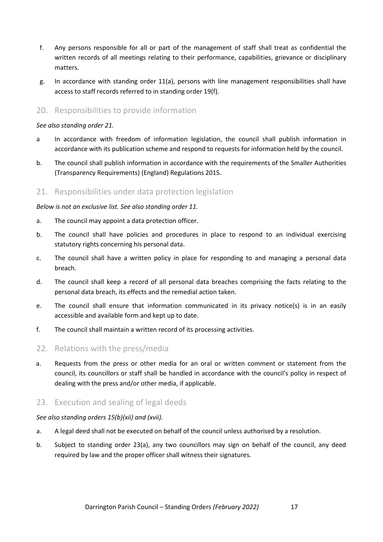- f. Any persons responsible for all or part of the management of staff shall treat as confidential the written records of all meetings relating to their performance, capabilities, grievance or disciplinary matters.
- g. In accordance with standing order 11(a), persons with line management responsibilities shall have access to staff records referred to in standing order 19(f).

#### 20. Responsibilities to provide information

#### *See also standing order 21.*

- a In accordance with freedom of information legislation, the council shall publish information in accordance with its publication scheme and respond to requests for information held by the council.
- b. The council shall publish information in accordance with the requirements of the Smaller Authorities (Transparency Requirements) (England) Regulations 2015.

#### 21. Responsibilities under data protection legislation

#### *Below is not an exclusive list. See also standing order 11.*

- a. The council may appoint a data protection officer.
- b. The council shall have policies and procedures in place to respond to an individual exercising statutory rights concerning his personal data.
- c. The council shall have a written policy in place for responding to and managing a personal data breach.
- d. The council shall keep a record of all personal data breaches comprising the facts relating to the personal data breach, its effects and the remedial action taken.
- e. The council shall ensure that information communicated in its privacy notice(s) is in an easily accessible and available form and kept up to date.
- f. The council shall maintain a written record of its processing activities.

#### 22. Relations with the press/media

a. Requests from the press or other media for an oral or written comment or statement from the council, its councillors or staff shall be handled in accordance with the council's policy in respect of dealing with the press and/or other media, if applicable.

#### 23. Execution and sealing of legal deeds

#### *See also standing orders 15(b)(xii) and (xvii).*

- a. A legal deed shall not be executed on behalf of the council unless authorised by a resolution.
- b. Subject to standing order 23(a), any two councillors may sign on behalf of the council, any deed required by law and the proper officer shall witness their signatures.